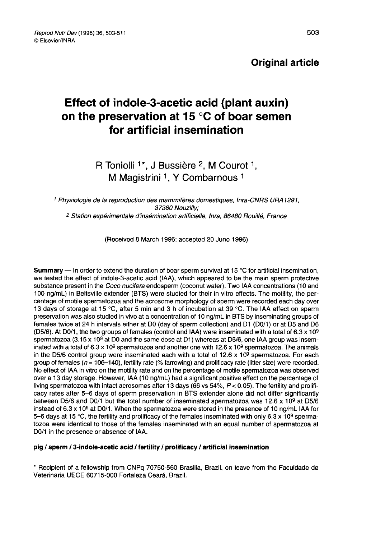### Original article

# Effect of indole-3-acetic acid (plant auxin) on the preservation at 15 °C of boar semen for artificial insemination

## R Toniolli <sup>1\*</sup>, J Bussière <sup>2</sup>, M Courot <sup>1</sup>, M Magistrini <sup>1</sup>, Y Combarnous<sup>1</sup>

<sup>1</sup> Physiologie de la reproduction des mammifères domestiques, Inra-CNRS URA 1291, 37380 Nouzilly; <sup>2</sup> Station expérimentale d'insémination artificielle, Inra, 86480 Rouillé, France

(Received 8 March 1996; accepted 20 June 1996)

**Summary** — In order to extend the duration of boar sperm survival at 15 °C for artificial insemination, we tested the effect of indole-3-acetic acid (IAA), which appeared to be the main sperm protective substance present in the *Coco nucifera* endosperm (coconut water). Two IAA concentrations (10 and 100 ng/mL) in Beltsville extender (BTS) were studied for their in vitro effects. The motility, the percentage of motile spermatozoa and the acrosome morphology of sperm were recorded each day over 13 days of storage at 15 °C, after 5 min and 3 h of incubation at 39 °C. The IAA effect on sperm preservation was also studied in vivo at a concentration of 10 ng/mL in BTS by inseminating groups of females twice at 24 h intervals either at DO (day of sperm collection) and D1 (DO/1) or at D5 and D6 (D5/6). At D0/1, the two groups of females (control and IAA) were inseminated with a total of 6.3 x 10<sup>9</sup> spermatozoa (3.15 x 109 at D0 and the same dose at D1) whereas at D5/6, one IAA group was inseminated with a total of 6.3 x 10<sup>9</sup> spermatozoa and another one with 12.6 x 10<sup>9</sup> spermatozoa. The animals in the D5/6 control group were inseminated each with a total of  $12.6 \times 10^9$  spermatozoa. For each group of females ( $n= 106-140$ ), fertility rate (% farrowing) and prolificacy rate (litter size) were recorded. No effect of IAA in vitro on the motility rate and on the percentage of motile spermatozoa was observed over a 13 day storage. However, IAA (10 ng/mL) had a significant positive effect on the percentage of living spermatozoa with intact acrosomes after 13 days (66 vs 54%,  $P < 0.05$ ). The fertility and prolificacy rates after 5-6 days of sperm preservation in BTS extender alone did not differ significantly between D5/6 and DO/1 but the total number of inseminated spermatozoa was 12.6 x 109 at D5/6 instead of  $6.3 \times 10^9$  at D0/1. When the spermatozoa were stored in the presence of 10 ng/mL IAA for 5-6 days at 15 °C, the fertility and prolificacy of the females inseminated with only 6.3 x 10<sup>9</sup> sperma-<br>tozoa were identical to those of the females inseminated with an equal number of spermatozoa at DO/1 in the presence or absence of IAA.

#### pig / sperm / 3-indole-acetic acid / fertility / prolificacy / artificial insemination

<sup>\*</sup> Recipient of a fellowship from CNPq 70750-560 Brasilia, Brazil, on leave from the Faculdade de Veterinaria UECE 60715-000 Fortaleza Ceará, Brazil.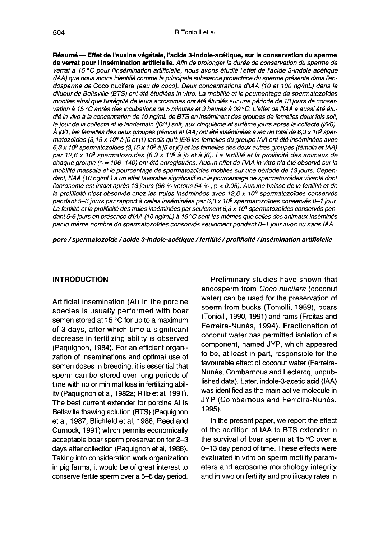Résumé ― Effet de l'auxine végétale, l'acide 3-indole-acétique, sur la conservation du sperme de verrat pour l'insémination artificielle. Afin de prolonger la durée de conservation du sperme de verrat à 15 °C pour l'insémination artificielle, nous avons étudié l'effet de l'acide 3-indole acétique (IAA) que nous avons identifié comme la principale substance protectrice du sperme présente dans I endosperme de Coco nucifera (eau de coco). Deux concentrations d'IAA (10 et 100 ng/mL) dans le dilueur de Beltsville (BTS) ont été étudiées in vitro. La mobilité et le pourcentage de spermatozoïdes mobiles ainsi que l'intégrité de leurs acrosomes ont été étudiés sur une période de 13 jours de conservation à 15 °C après des incubations de 5 minutes et 3 heures à 39 °C. L'effet de l'IAA a aussi été étudié in vivo à la concentration de 10 ng/mL de BTS en inséminant des groupes de femelles deux fois soit,<br>le jour de la collecte et le lendemain (j0/1) soit, aux cinquième et sixième jours après la collecte (j5/6). À j0/1, les femelles des deux groupes (témoin et IAA) ont été inséminées avec un total de 6,3 x 10º sper-A j0/1, les temelles des deux groupes (témoin et IAA) ont été inséminées avec un total de 6,3 x 10° spermatozoïdes (3,15 x 10° à j0 et j1) tandis qu'à j5/6 les femelles du groupe IAA ont été inséminées avec<br>6,3 x 10° sperm 6,3 x 10º spermatozoïdes (3,15 x 10º a j5 et j6) et les femelles des deux autres groupes (temoin et IAA)<br>par 12,6 x 10º spermatozoïdes (6,3 x 10º à j5 et à j6). La fertilité et la prolificité des animaux de<br>chaque groupe ( mobilité massale et le pourcentage de spermatozoïdes mobiles sur une période de 13 jours. Cependant, l'IAA (10 ng/mL) a un effet favorable significatif sur le pourcentage de spermatozoïdes vivants dont l'acrosome est intact après 13 jours (66 % versus 54 % ; p < 0,05). Aucune baisse de la fertilité et de la prolificité n'est observée chez les truies inséminées avec 12,6 x 10<sup>9</sup> spermatozoïdes conservés<br>pendant 5-6 jours par rapport à celles inséminées par 6,3 x 10<sup>9</sup> spermatozoïdes conservés 0-1 jour. La fertilité et la prolificité des truies inséminées par seulement 6,3 x 10<sup>9</sup> spermatozoïdes conservés pendant 5-6 jours en présence d'IAA (10 ng/mL) à 15 °C sont les mêmes que celles des animaux inséminés par le même nombre de spermatozoïdes conservés seulement pendant 0-1 jour avec ou sans IAA.

porc / spermatozoïde / acide 3-indole-acétique / fertilité / prolificité / insémination artificielle

#### INTRODUCTION

Artificial insemination (Al) in the porcine species is usually performed with boar semen stored at 15 °C for up to a maximum of 3 days, after which time a significant decrease in fertilizing ability is observed (Paquignon, 1984). For an efficient organization of inseminations and optimal use of semen doses in breeding, it is essential that sperm can be stored over long periods of time with no or minimal loss in fertilizing ability (Paquignon et al, 1982a; Rillo et al, 1991). The best current extender for porcine At is Beltsville thawing solution (BTS) (Paquignon et al, 1987; Blichfeld et al, 1988; Reed and Curnock, 1991) which permits economically acceptable boar sperm preservation for 2-3 days after collection (Paquignon et al, 1988). Taking into consideration work organization in pig farms, it would be of great interest to conserve fertile sperm over a 5-6 day period.

Preliminary studies have shown that endosperm from Coco nucifera (coconut water) can be used for the preservation of sperm from bucks (Toniolli, 1989), boars (Toniolli, 1990,1991) and rams (Freitas and Ferreira-Nunès, 1994). Fractionation of coconut water has permitted isolation of a component, named JYP, which appeared to be, at least in part, responsible for the favourable effect of coconut water (Ferreira-Nunès, Combarnous and Leclercq, unpublished data). Later, indole-3-acetic acid (IAA) was identified as the main active molecule in JYP (Combarnous and Ferreira-Nunès, 1995).

In the present paper, we report the effect of the addition of IAA to BTS extender in the survival of boar sperm at 15 °C over a 0-13 day period of time. These effects were evaluated in vitro on sperm motility parameters and acrosome morphology integrity and in vivo on fertility and prolificacy rates in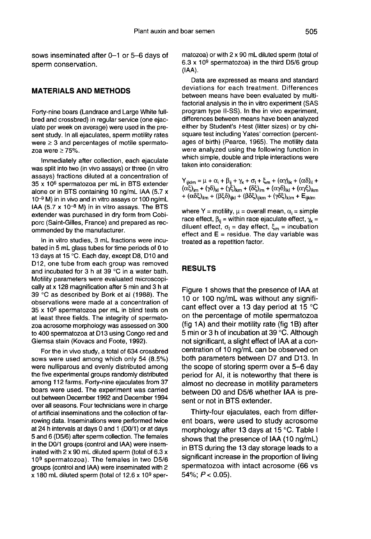sows inseminated after 0-1 or 5-6 days of sperm conservation.

#### MATERIALS AND METHODS

Forty-nine boars (Landrace and Large White fullbred and crossbred) in regular service (one ejaculate per week on average) were used in the present study. In all ejaculates, sperm motility rates were  $\geq 3$  and percentages of motile spermatozoa were  $\geq$  75%.

Immediately after collection, each ejaculate was split into two (in vivo assays) or three (in vitro assays) fractions diluted at a concentration of 35 x 106 spermatozoa per mL in BTS extender alone or in BTS containing 10 ng/mL IAA (5.7 x  $10^{-9}$  M) in in vivo and in vitro assays or 100 ng/mL<br>IAA (5.7 x 10<sup>-8</sup> M) in in vitro assays. The BTS extender was purchased in dry form from Cobiporc (Saint-Gilles, France) and prepared as recommended by the manufacturer.

In in vitro studies, 3 mL fractions were incubated in 5 mL glass tubes for time periods of 0 to 13 days at 15 °C. Each day, except D8, D10 and D12, one tube from each group was removed and incubated for 3 h at 39 °C in a water bath. Motility parameters were evaluated microscopically at x 128 magnification after 5 min and 3 h at 39 °C as described by Bork et al (1988). The observations were made at a concentration of 35 x 106 spermatozoa per mL in blind tests on at least three fields. The integrity of spermato zoa acrosome morphology was assessed on 300 to 400 spermatozoa at D13 using Congo red and Giemsa stain (Kovacs and Foote, 1992).

For the in vivo study, a total of 634 crossbred sows were used among which only 54 (8.5%) were nulliparous and evenly distributed among the five experimental groups randomly distributed among 112 farms. Forty-nine ejaculates from 37 boars were used. The experiment was carried out between December 1992 and December 1994 over all seasons. Four technicians were in charge of artificial inseminations and the collection of farrowing data. Inseminations were performed twice at 24 h intervals at days 0 and 1 (DO/1) or at days 5 and 6 (D5/6) after sperm collection. The females in the DO/1 groups (control and IAA) were inseminated with 2 x 90 mL diluted sperm (total of 6.3 x 109 spermatozoa). The females in two D5/6 groups (control and IAA) were inseminated with 2  $x$  180 mL diluted sperm (total of 12.6  $x$  10<sup>9</sup> spermatozoa) or with 2 x 90 mL diluted sperm (total of 6.3 x 109 spermatozoa) in the third D5/6 group (IAA).

Data are expressed as means and standard deviations for each treatment. Differences between means have been evaluated by multifactorial analysis in the in vitro experiment (SAS program type II-SS). In the in vivo experiment, differences between means have been analyzed either by Student's t-test (litter sizes) or by chisquare test including Yates' correction (percentages of birth) (Pearce, 1965). The motility data were analyzed using the following function in which simple, double and triple interactions were taken into consideration:

| 1805 - 1110 CONSIGNOVII.                                                                                                                                                                                                                                                                                                                                                                                                                                                              |
|---------------------------------------------------------------------------------------------------------------------------------------------------------------------------------------------------------------------------------------------------------------------------------------------------------------------------------------------------------------------------------------------------------------------------------------------------------------------------------------|
| $Y_{ijklm} = \mu + \alpha_i + \beta_{ij} + \gamma_k + \sigma_l + \xi_m + (\alpha \gamma)_{ik} + (\alpha \delta)_{il} +$<br>$(\alpha \xi)_{\text{im}} + (\gamma \delta)_{\text{kl}} + (\gamma \xi)_{\text{km}} + (\delta \xi)_{\text{im}} + (\alpha \gamma \delta)_{\text{ik}} + (\alpha \gamma \xi)_{\text{ikm}}$<br>+ $(\alpha \delta \xi)_{\text{ilm}} + (\beta \xi \delta)_{\text{ijkl}} + (\beta \delta \xi)_{\text{ijkm}} + (\gamma \delta \xi)_{\text{klm}} + E_{\text{ijklm}}$ |
|                                                                                                                                                                                                                                                                                                                                                                                                                                                                                       |

where Y = motility,  $\mu$  = overall mean,  $\alpha_i$  = simple  $r^2 + (\alpha \delta \xi)_{\text{ilm}} + (\beta \xi \delta)_{\text{ijkl}} + (\beta \delta \xi)_{\text{ijklm}} + (\gamma \delta \xi)_{\text{klm}} + \text{E}_{\text{ijklm}}$ <br>where Y = motility,  $\mu$  = overall mean,  $\alpha_i$  = simple<br>race effect,  $\beta_{ij}$  = within race ejaculate effect,  $\gamma_k$  =<br>diluent effect,  $\sigma_i$  = day race effect,  $\beta_{ij}$  = within race ejaculate effect,  $\gamma_k$  = diluent effect,  $\sigma_i$  = day effect,  $\xi_m$  = incubation effect and  $E =$  residue. The day variable was treated as a repetition factor.

#### RESULTS

Figure 1 shows that the presence of IAA at 10 or 100 ng/mL was without any significant effect over a 13 day period at 15 °C on the percentage of motile spermatozoa (fig 1A) and their motility rate (fig 1B) after 5 min or 3 h of incubation at 39 °C. Although not significant, a slight effect of IAA at a concentration of 10 ng/mL can be observed on both parameters between D7 and D13. In the scope of storing sperm over a 5-6 day period for Al, it is noteworthy that there is almost no decrease in motility parameters between DO and D5/6 whether IAA is present or not in BTS extender.

Thirty-four ejaculates, each from different boars, were used to study acrosome morphology after 13 days at 15 °C. Table I shows that the presence of IAA (10 ng/mL) in BTS during the 13 day storage leads to a significant increase in the proportion of living spermatozoa with intact acrosome (66 vs 54%;  $P < 0.05$ ).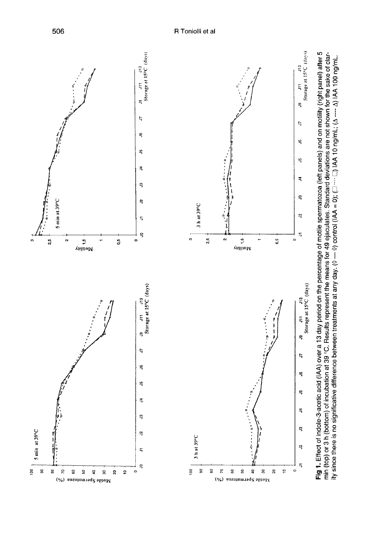R Toniolli et al



506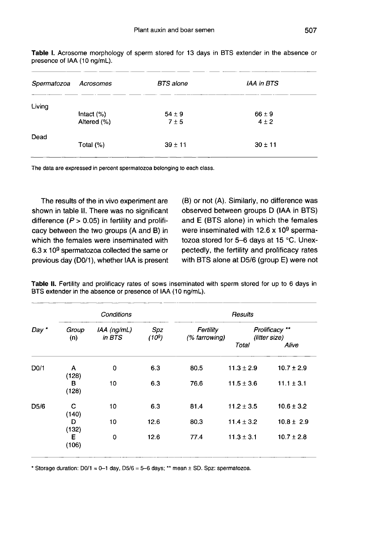| Spermatozoa | Acrosomes                    | <b>BTS</b> alone  | <b>IAA in BTS</b>       |  |
|-------------|------------------------------|-------------------|-------------------------|--|
| Living      | Intact $(\%)$<br>Altered (%) | $54 \pm 9$<br>7±5 | $66 \pm 9$<br>$4 \pm 2$ |  |
| Dead        | Total $(\%)$                 | $39 \pm 11$       | $30 \pm 11$             |  |

Table I. Acrosome morphology of sperm stored for 13 days in BTS extender in the absence or presence of IAA (10 ng/mL).

The data are expressed in percent spermatozoa belonging to each class.

The results of the in vivo experiment are shown in table II. There was no significant difference ( $P > 0.05$ ) in fertility and prolificacy between the two groups (A and B) in which the females were inseminated with  $6.3 \times 10^9$  spermatozoa collected the same or previous day (D0/1), whether IAA is present (B) or not (A). Similarly, no difference was observed between groups D (IAA in BTS) and E (BTS alone) in which the females were inseminated with  $12.6 \times 10^9$  spermatozoa stored for 5-6 days at 15 °C. Unexpectedly, the fertility and prolificacy rates with BTS alone at D5/6 (group E) were not

|                   | Conditions   |                         |              | Results                    |                                 |                |
|-------------------|--------------|-------------------------|--------------|----------------------------|---------------------------------|----------------|
| Day *             | Group<br>(n) | $IAA$ (ng/mL)<br>in BTS | Spz<br>(109) | Fertility<br>(% farrowing) | Prolificacy **<br>(litter size) |                |
|                   |              |                         |              |                            | Total                           | Alive          |
| D <sub>0</sub> /1 | A<br>(128)   | 0                       | 6.3          | 80.5                       | $11.3 \pm 2.9$                  | $10.7 \pm 2.9$ |
|                   | в<br>(128)   | 10                      | 6.3          | 76.6                       | $11.5 \pm 3.6$                  | $11.1 \pm 3.1$ |
| D <sub>5</sub> /6 | C<br>(140)   | 10                      | 6.3          | 81.4                       | $11.2 \pm 3.5$                  | $10.6 \pm 3.2$ |
|                   | D<br>(132)   | 10                      | 12.6         | 80.3                       | $11.4 \pm 3.2$                  | $10.8 \pm 2.9$ |
|                   | Е<br>(106)   | 0                       | 12.6         | 77.4                       | $11.3 \pm 3.1$                  | $10.7 \pm 2.8$ |

Table II. Fertility and prolificacy rates of sows inseminated with sperm stored for up to 6 days in BTS extender in the absence or presence of IAA (10 ng/mL).

\* Storage duration:  $D0/1 = D-1$  day,  $D5/6 = 5-6$  days; \*\* mean  $\pm$  SD. Spz: spermatozoa.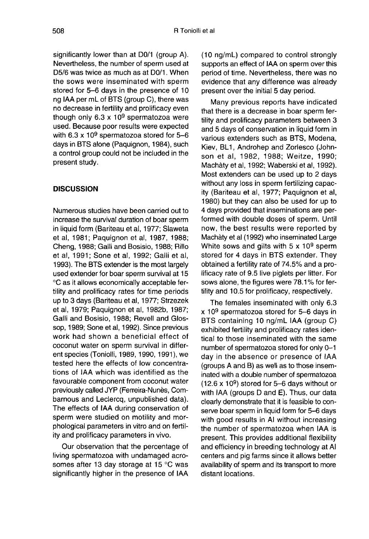significantly lower than at DO/1 (group A). Nevertheless, the number of sperm used at D5/6 was twice as much as at DO/1. When the sows were inseminated with sperm stored for 5-6 days in the presence of 10 ng IAA per mL of BTS (group C), there was no decrease in fertility and prolificacy even though only  $6.3 \times 10^9$  spermatozoa were used. Because poor results were expected with 6.3 x 10<sup>9</sup> spermatozoa stored for  $5-6$ days in BTS alone (Paquignon, 1984), such a control group could not be included in the present study.

#### **DISCUSSION**

Numerous studies have been carried out to increase the survival duration of boar sperm in liquid form (Bariteau et al, 1977; Slaweta et al, 1981; Paquignon et al, 1987, 1988; Cheng, 1988; Galli and Bosisio, 1988; Rillo et al, 1991; Sone et al, 1992; Galli et al, 1993). The BTS extender is the most largely used extender for boar sperm survival at 15 °C as it allows economically acceptable fertility and prolificacy rates for time periods up to 3 days (Bariteau et al, 1977; Strzezek et al, 1979; Paquignon et al, 1982b, 1987; Galli and Bosisio, 1988; Revell and Glossop, 1989; Sone et al, 1992). Since previous work had shown a beneficial effect of coconut water on sperm survival in different species (Toniolli, 1989, 1990, 1991 ), we tested here the effects of low concentrations of IAA which was identified as the favourable component from coconut water previously called JYP (Ferreira-Nunès, Combarnous and Leclercq, unpublished data). The effects of IAA during conservation of sperm were studied on motility and morphological parameters in vitro and on fertility and prolificacy parameters in vivo.

Our observation that the percentage of living spermatozoa with undamaged acrosomes after 13 day storage at 15 °C was significantly higher in the presence of IAA (10 ng/mL) compared to control strongly supports an effect of IAA on sperm over this period of time. Nevertheless, there was no evidence that any difference was already present over the initial 5 day period.

Many previous reports have indicated that there is a decrease in boar sperm fertility and prolificacy parameters between 3 and 5 days of conservation in liquid form in various extenders such as BTS, Modena, Kiev, BL1, Androhep and Zorlesco (John son et al, 1982, 1988; Weitze, 1990; Machàty et al, 1992; Waberski et al, 1992). Most extenders can be used up to 2 days without any loss in sperm fertilizing capacity (Bariteau et al, 1977; Paquignon et al, 1980) but they can also be used for up to 4 days provided that inseminations are performed with double doses of sperm. Until now, the best results were reported by Machaty et al (1992) who inseminated Large White sows and gilts with  $5 \times 10^9$  sperm stored for 4 days in BTS extender. They obtained a fertility rate of 74.5% and a prolificacy rate of 9.5 live piglets per litter. For sows alone, the figures were 78.1% for fertility and 10.5 for prolificacy, respectively.

The females inseminated with only 6.3 x 109 spermatozoa stored for 5-6 days in BTS containing 10 ng/mL IAA (group C) exhibited fertility and prolificacy rates identical to those inseminated with the same number of spermatozoa stored for only 0-1 day in the absence or presence of IAA (groups A and B) as well as to those inseminated with a double number of spermatozoa (12.6 x 109) stored for 5-6 days without or with IAA (groups D and E). Thus, our data clearly demonstrate that it is feasible to conserve boar sperm in liquid form for 5-6 days with good results in Al without increasing the number of spermatozoa when IAA is present. This provides additional flexibility and efficiency in breeding technology at Al centers and pig farms since it allows better availability of sperm and its transport to more distant locations.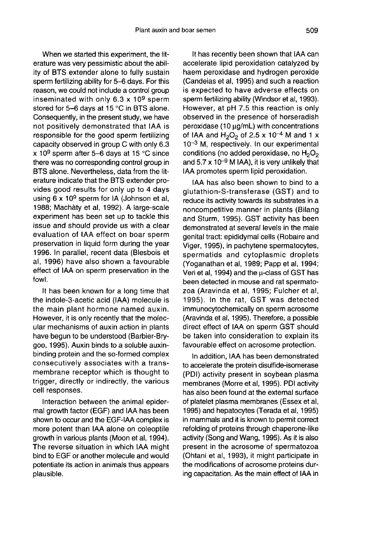When we started this experiment, the literature was very pessimistic about the ability of BTS extender alone to fully sustain sperm fertilizing ability for 5-6 days. For this reason, we could not include a control group inseminated with only 6.3 x 109 sperm stored for 5-6 days at 15 °C in BTS alone. Consequently, in the present study, we have not positively demonstrated that IAA is responsible for the good sperm fertilizing capacity observed in group C with only 6.3 x 10<sup>9</sup> sperm after 5-6 days at 15 °C since there was no corresponding control group in BTS alone. Nevertheless, data from the literature indicate that the BTS extender provides good results for only up to 4 days using  $6 \times 10^9$  sperm for IA (Johnson et al, 1988; Machàty et al, 1992). A large-scale experiment has been set up to tackle this issue and should provide us with a clear evaluation of IAA effect on boar sperm preservation in liquid form during the year 1996. In parallel, recent data (Blesbois et al, 1996) have also shown a favourable effect of IAA on sperm preservation in the fowl.

It has been known for a long time that the indole-3-acetic acid (IAA) molecule is the main plant hormone named auxin. However, it is only recently that the molecular mechanisms of auxin action in plants have begun to be understood (Barbier-Brygoo, 1995). Auxin binds to a soluble auxinbinding protein and the so-formed complex consecutively associates with a transmembrane receptor which is thought to trigger, directly or indirectly, the various cell responses.

Interaction between the animal epidermal growth factor (EGF) and IAA has been shown to occur and the EGF-IAA complex is more potent than IAA alone on coleoptile growth in various plants (Moon et al, 1994). The reverse situation in which IAA might bind to EGF or another molecule and would potentiate its action in animals thus appears plausible.

It has recently been shown that IAA can accelerate lipid peroxidation catalyzed by haem peroxidase and hydrogen peroxide (Candeias et al, 1995) and such a reaction is expected to have adverse effects on sperm fertilizing ability (Windsor et al, 1993). However, at pH 7.5 this reaction is only observed in the presence of horseradish  $peroxidase (10  $\mu$ g/mL) with concentrations$ beroxidase (10  $\mu$ g/mL) with concentrations<br>of IAA and H<sub>2</sub>O<sub>2</sub> of 2.5 x 10<sup>-4</sup> M and 1 x<br>10<sup>-3</sup> M, respectively. In our experimental  $10^{-3}$  M, respectively. In our experimental<br>conditions (no added peroxidase, no  $H_2O_2$ <br>and 5.7 x 10<sup>-9</sup> M IAA), it is very unlikely that conditions (no added peroxidase, no  $H_2O_2$ IAA promotes sperm lipid peroxidation.

IAA has also been shown to bind to a glutathion-S-transferase (GST) and to reduce its activity towards its substrates in a noncompetitive manner in plants (Bilang and Sturm, 1995). GST activity has been demonstrated at several levels in the male genital tract: epididymal cells (Robaire and Viger, 1995), in pachytene spermatocytes, spermatids and cytoplasmic droplets (Yoganathan et al, 1989; Papp et al, 1994; Veri et al, 1994) and the  $\mu$ -class of GST has been detected in mouse and rat spermato zoa (Aravinda et al, 1995; Fulcher et al, 1995). In the rat, GST was detected immunocytochemically on sperm acrosome (Aravinda et al, 1995). Therefore, a possible direct effect of IAA on sperm GST should be taken into consideration to explain its favourable effect on acrosome protection.

In addition, IAA has been demonstrated to accelerate the protein disulfide-isomerase (PDI) activity present in soybean plasma membranes (Morre et al, 1995). PDI activity has also been found at the external surface of platelet plasma membranes (Essex et al, 1995) and hepatocytes (Terada et al, 1995) in mammals and it is known to permit correct refolding of proteins through chaperone-like activity (Song and Wang, 1995). As it is also present in the acrosome of spermatozoa (Ohtani et al, 1993), it might participate in the modifications of acrosome proteins during capacitation. As the main effect of IAA in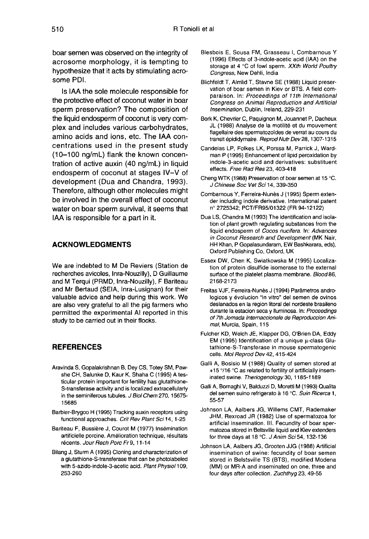boar semen was observed on the integrity of acrosome morphology, it is tempting to hypothesize that it acts by stimulating acrosome PDI.

Is IAA the sole molecule responsible for the protective effect of coconut water in boar sperm preservation? The composition of the liquid endosperm of coconut is very complex and includes various carbohydrates, amino acids and ions, etc. The IAA concentrations used in the present study (10-100 ng/mL) flank the known concentration of active auxin (40 ng/mL) in liquid endosperm of coconut at stages IV-V of development (Dua and Chandra, 1993). Therefore, although other molecules might be involved in the overall effect of coconut water on boar sperm survival, it seems that IAA is responsible for a part in it.

#### ACKNOWLEDGMENTS

We are indebted to M De Reviers (Station de recherches avicoles, Inra-Nouzilly), D Guillaume and M Terqui (PRMD, Inra-Nouzilly), F Bariteau and Mr Bertaud (SEIA, Inra-Lusignan) for their valuable advice and help during this work. We are also very grateful to all the pig farmers who permitted the experimental Al reported in this study to be carried out in their flocks.

#### **REFERENCES**

- Aravinda S, Gopalakrishnan B, Dey CS, Totey SM, Pawshe CH, Salunke D, Kaur K, Shaha C (1995) A testicular protein important for fertility has glutathione- S-transferase activity and is localized extracellularly in the seminiferous tubules. J Biol Chem 270, 15675-15685
- Barbier-Brygoo H (1995) Tracking auxin receptors using functional approaches. Crit Rev Plant Sci 14, 1-25
- Bariteau F, Bussière J, Courot M (1977) Insémination artificielle porcine. Amélioration technique, résultats récents. Jour Rech Porc Fr 9, 11-14
- Bilang J, Sturm A (1995) Cloning and characterization of a glutathione-S-transferase that can be photolabeled with 5-azido-indole-3-acetic acid. Plant Physiol 109, 253-260
- Blesbois E, Sousa FM, Grasseau 1, Combarnous Y (1996) Effects of 3-indole-acetic acid (IAA) on the storage at 4 °C of fowl sperm. XXth World Poultry Congress, New Dehli, India
- Blichfeldt T, Almlid T, Stavne SE (1988) Liquid preservation of boar semen in Kiev or BTS. A field comparaison. In: Proceedings of 11th International Congress on Animal Reproduction and Artificial Insemination, Dublin, Ireland, 229-231
- Bork K, Chevrier C, Paquignon M, Jouannet P, Dacheux JL (1988) Analyse de la motilité et du mouvement flagellaire des spermatozoïdes de verrat au cours du transit épididymaire. Reprod Nutr Dev 28, 1307-1315
- Candeias LP, Folkes LK, Porssa M, Parrick J, Wardman P (1995) Enhancement of lipid peroxidation by indole-3-acetic acid and derivatives: substituent effects. Free Rad Res 23, 403-418
- Cheng WTK (1988) Preservation of boar semen at 15 °C. J Chinese Soc Vet Sci 14, 339-350
- Combarnous Y, Ferreira-Nunès J (1995) Sperm extender including indole derivative. International patent n° 2725342; PCT/FR95/01322 (FR 94-12122)
- Dua LS, Chandra M (1993) The identification and isolation of plant growth regulating substances from the liquid endosperm of Cocos nucifera. In: Advances in Coconut Research and Development (MK Nair, HH Khan, P Gopalasundaram, EW Bashkarara, eds), Oxford Publishing Co, Oxford, UK
- Essex DW, Chen K, Swiatkowska M (1995) Localization of protein disulfide isomerase to the external surface of the platelet plasma membrane. Blood 86, 2168-2173
- Freitas VJF, Ferreira-Nunès J (1994) Parâmetros andrologicos y évolucion "in vitro" del semen de ovinos deslanados en la region litoral del nordeste brasileno durante la estacion seca y liuminosa. In: Proceedings of 7th Jomada Internaccionale de Reproduccion Animal, Murcia, Spain, 115
- Fulcher KD, Welch JE, Klapper DG, O'Brien DA, Eddy EM (1995) Identification of a unique g-class Glutathione-S-Transferase in mouse spermatogenic cells. Mol Reprod Dev 42, 415-424
- Galli A, Bosisio M (1988) Quality of semen stored at +15 °/16 °C as related to fertility of artificially inseminated swine. Theriogenology 30, 1185-1189
- Galli A, Bornaghi V, Balduzzi D, Moretti M (1993) Qualita del semen suino refrigerato à 16 °C. Suin Ricerca 1, 55-57
- Johnson LA, Aalbers JG, Willems CMT, Rademaker JHM, Rexroad JR (1982) Use of spermatozoa for artificial insemination. III. Fecundity of boar spermatozoa stored in Beltsville liquid and Kiev extenders for three days at 18 °C. J Anim Sci 54, 132-136
- Johnson LA, Aalbers JG, Grooten JJG (1988) Artificial insemination of swine: fecundity of boar semen stored in Belstsville TS (BTS), modified Modena (MM) or MR-A and inseminated on one, three and four days after collection. Zuchthyg 23, 49-55